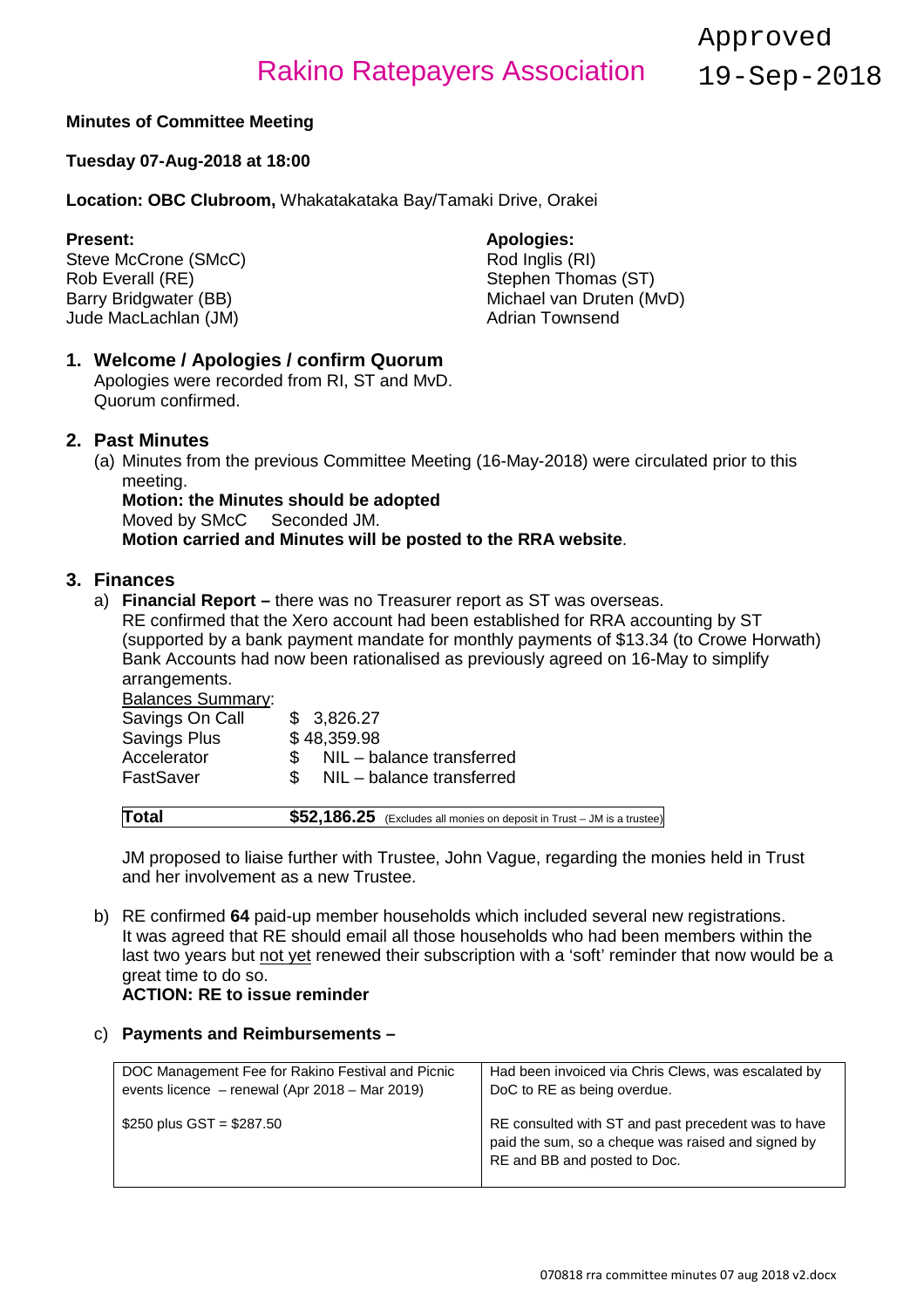Approved 19-Sep-2018

#### **Minutes of Committee Meeting**

#### **Tuesday 07-Aug-2018 at 18:00**

**Location: OBC Clubroom,** Whakatakataka Bay/Tamaki Drive, Orakei

**Present: Apologies: Apologies: Apologies: Apologies: Apologies: Apologies: Apologies: Apologies: Apologies: Apologies: Apologies: Apologies: Apologies: Apologies: Apologies: Apologies: Ap** Steve McCrone (SMcC)<br>Rob Everall (RE) Rob Everall (RE)<br>
Barry Bridgwater (BB) Stephen Thomas (ST)<br>
Michael van Druten (M Jude MacLachlan (JM)

Michael van Druten (MvD)<br>Adrian Townsend

### **1. Welcome / Apologies / confirm Quorum**

Apologies were recorded from RI, ST and MvD. Quorum confirmed.

#### **2. Past Minutes**

(a) Minutes from the previous Committee Meeting (16-May-2018) were circulated prior to this meeting.

# **Motion: the Minutes should be adopted**<br>Moved by SMcC Seconded JM.

Moved by SMcC

**Motion carried and Minutes will be posted to the RRA website**.

#### **3. Finances**

a) **Financial Report –** there was no Treasurer report as ST was overseas. RE confirmed that the Xero account had been established for RRA accounting by ST

(supported by a bank payment mandate for monthly payments of \$13.34 (to Crowe Horwath) Bank Accounts had now been rationalised as previously agreed on 16-May to simplify arrangements.

| <b>Balances Summary:</b> |     |                           |
|--------------------------|-----|---------------------------|
| Savings On Call          |     | \$ 3,826.27               |
| Savings Plus             |     | \$48,359.98               |
| Accelerator              | SS. | NIL - balance transferred |
| FastSaver                | SS. | NIL - balance transferred |
|                          |     |                           |

| $$52,186.25$ (Excludes all monies on deposit in Trust – JM is a trustee)<br>Total |  |
|-----------------------------------------------------------------------------------|--|
|-----------------------------------------------------------------------------------|--|

JM proposed to liaise further with Trustee, John Vague, regarding the monies held in Trust and her involvement as a new Trustee.

b) RE confirmed **64** paid-up member households which included several new registrations. It was agreed that RE should email all those households who had been members within the last two years but not yet renewed their subscription with a 'soft' reminder that now would be a great time to do so.

#### **ACTION: RE to issue reminder**

#### c) **Payments and Reimbursements –**

| DOC Management Fee for Rakino Festival and Picnic | Had been invoiced via Chris Clews, was escalated by                                                                                       |
|---------------------------------------------------|-------------------------------------------------------------------------------------------------------------------------------------------|
| events licence - renewal (Apr 2018 - Mar 2019)    | DoC to RE as being overdue.                                                                                                               |
| \$250 plus $GST = $287.50$                        | RE consulted with ST and past precedent was to have<br>paid the sum, so a cheque was raised and signed by<br>RE and BB and posted to Doc. |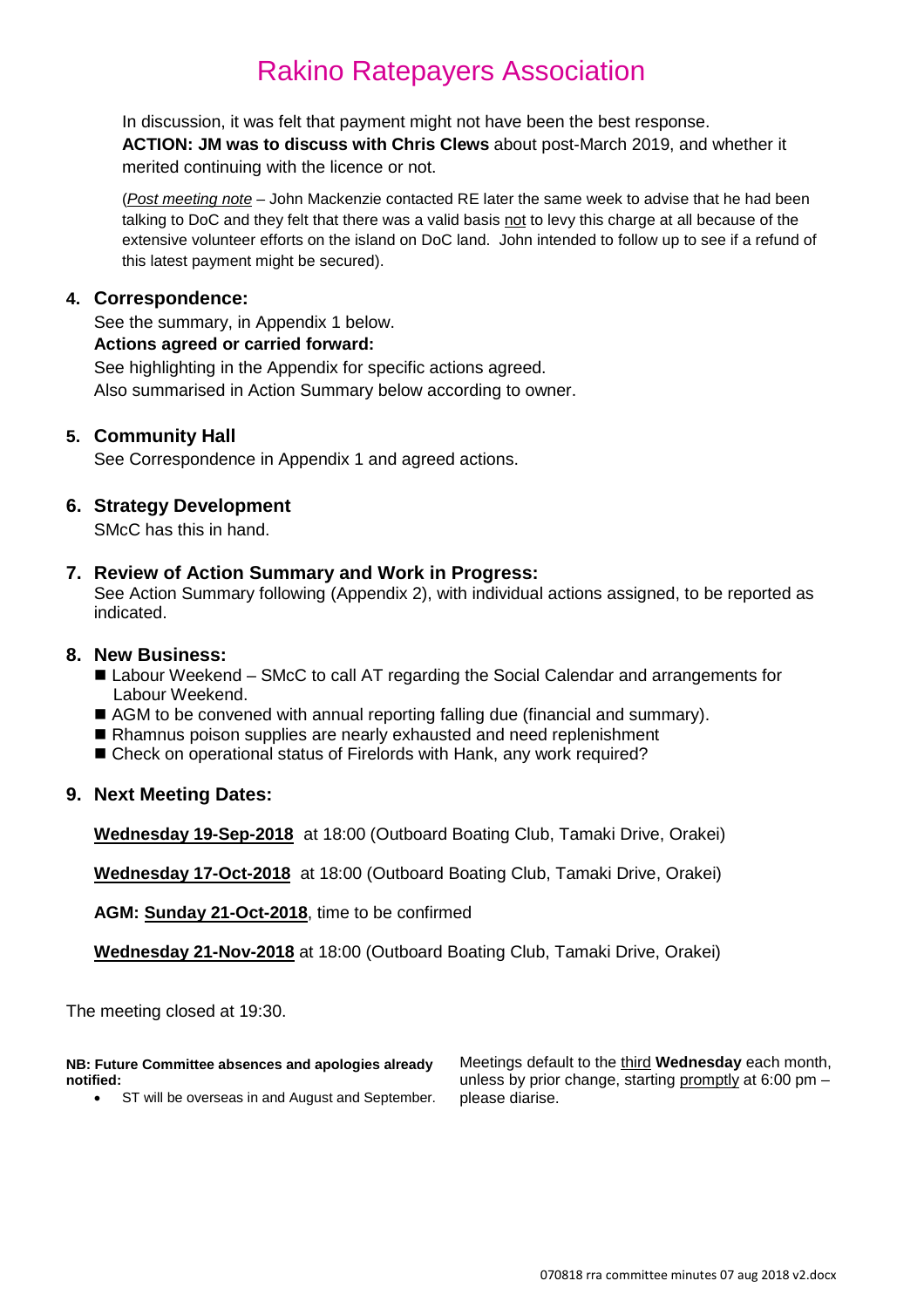In discussion, it was felt that payment might not have been the best response. **ACTION: JM was to discuss with Chris Clews** about post-March 2019, and whether it merited continuing with the licence or not.

(*Post meeting note* – John Mackenzie contacted RE later the same week to advise that he had been talking to DoC and they felt that there was a valid basis not to levy this charge at all because of the extensive volunteer efforts on the island on DoC land. John intended to follow up to see if a refund of this latest payment might be secured).

#### **4. Correspondence:**

See the summary, in Appendix 1 below.

### **Actions agreed or carried forward:**

See highlighting in the Appendix for specific actions agreed. Also summarised in Action Summary below according to owner.

#### **5. Community Hall**

See Correspondence in Appendix 1 and agreed actions.

#### **6. Strategy Development**

SMcC has this in hand.

#### **7. Review of Action Summary and Work in Progress:**

See Action Summary following (Appendix 2), with individual actions assigned, to be reported as indicated.

#### **8. New Business:**

- Labour Weekend SMcC to call AT regarding the Social Calendar and arrangements for Labour Weekend.
- AGM to be convened with annual reporting falling due (financial and summary).
- Rhamnus poison supplies are nearly exhausted and need replenishment
- Check on operational status of Firelords with Hank, any work required?

#### **9. Next Meeting Dates:**

**Wednesday 19-Sep-2018** at 18:00 (Outboard Boating Club, Tamaki Drive, Orakei)

**Wednesday 17-Oct-2018** at 18:00 (Outboard Boating Club, Tamaki Drive, Orakei)

**AGM: Sunday 21-Oct-2018**, time to be confirmed

**Wednesday 21-Nov-2018** at 18:00 (Outboard Boating Club, Tamaki Drive, Orakei)

The meeting closed at 19:30.

**NB: Future Committee absences and apologies already notified:**

• ST will be overseas in and August and September.

Meetings default to the third **Wednesday** each month, unless by prior change, starting promptly at 6:00 pm – please diarise.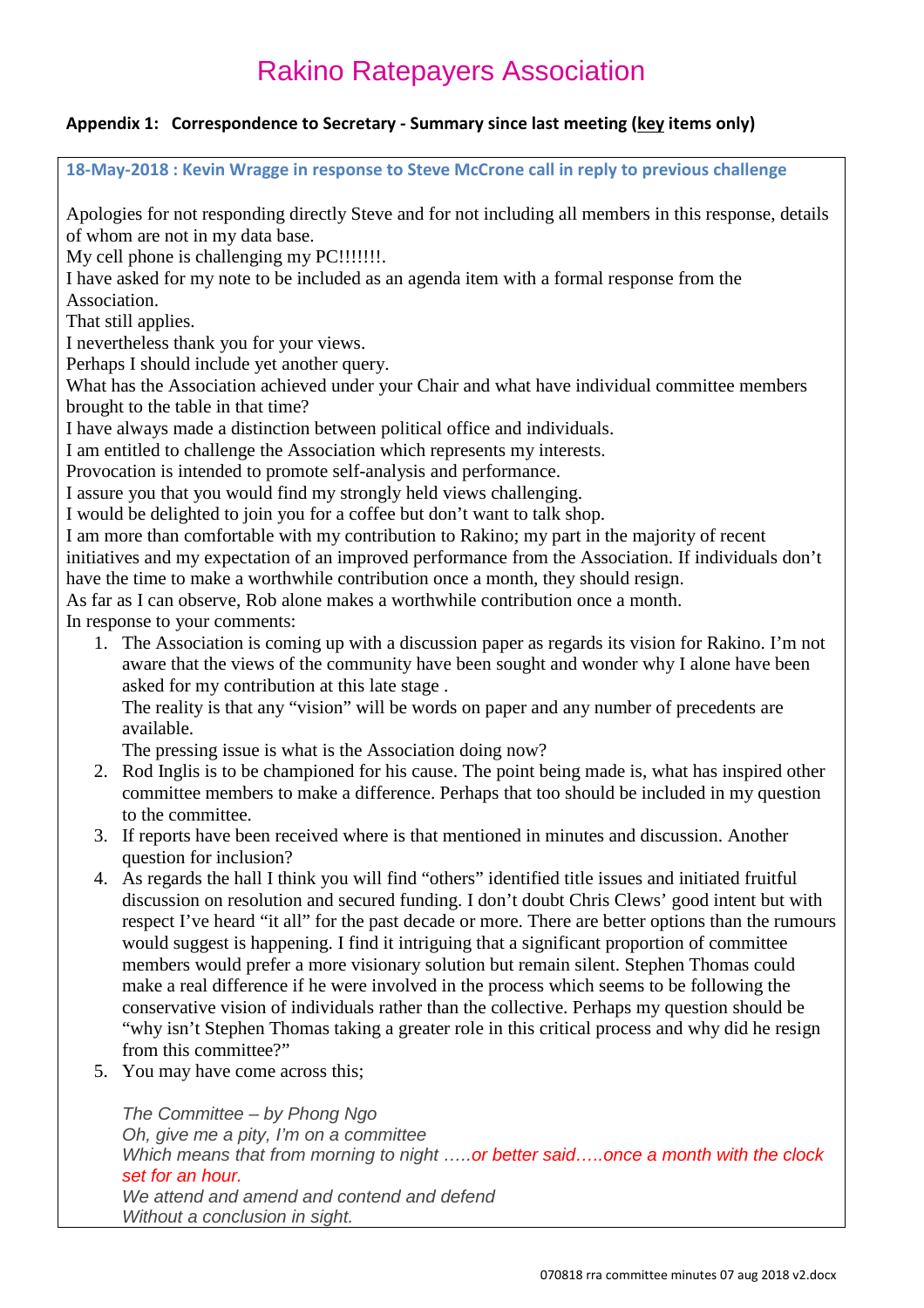### **Appendix 1: Correspondence to Secretary - Summary since last meeting (key items only)**

**18-May-2018 : Kevin Wragge in response to Steve McCrone call in reply to previous challenge**

Apologies for not responding directly Steve and for not including all members in this response, details of whom are not in my data base.

My cell phone is challenging my PC!!!!!!!!.

I have asked for my note to be included as an agenda item with a formal response from the

Association.

That still applies.

I nevertheless thank you for your views.

Perhaps I should include yet another query.

What has the Association achieved under your Chair and what have individual committee members brought to the table in that time?

I have always made a distinction between political office and individuals.

I am entitled to challenge the Association which represents my interests.

Provocation is intended to promote self-analysis and performance.

I assure you that you would find my strongly held views challenging.

I would be delighted to join you for a coffee but don't want to talk shop.

I am more than comfortable with my contribution to Rakino; my part in the majority of recent

initiatives and my expectation of an improved performance from the Association. If individuals don't have the time to make a worthwhile contribution once a month, they should resign.

As far as I can observe, Rob alone makes a worthwhile contribution once a month.

In response to your comments:

1. The Association is coming up with a discussion paper as regards its vision for Rakino. I'm not aware that the views of the community have been sought and wonder why I alone have been asked for my contribution at this late stage .

The reality is that any "vision" will be words on paper and any number of precedents are available.

The pressing issue is what is the Association doing now?

- 2. Rod Inglis is to be championed for his cause. The point being made is, what has inspired other committee members to make a difference. Perhaps that too should be included in my question to the committee.
- 3. If reports have been received where is that mentioned in minutes and discussion. Another question for inclusion?
- 4. As regards the hall I think you will find "others" identified title issues and initiated fruitful discussion on resolution and secured funding. I don't doubt Chris Clews' good intent but with respect I've heard "it all" for the past decade or more. There are better options than the rumours would suggest is happening. I find it intriguing that a significant proportion of committee members would prefer a more visionary solution but remain silent. Stephen Thomas could make a real difference if he were involved in the process which seems to be following the conservative vision of individuals rather than the collective. Perhaps my question should be "why isn't Stephen Thomas taking a greater role in this critical process and why did he resign from this committee?"
- 5. You may have come across this;

*The Committee – by Phong Ngo Oh, give me a pity, I'm on a committee Which means that from morning to night …..or better said…..once a month with the clock set for an hour. We attend and amend and contend and defend Without a conclusion in sight.*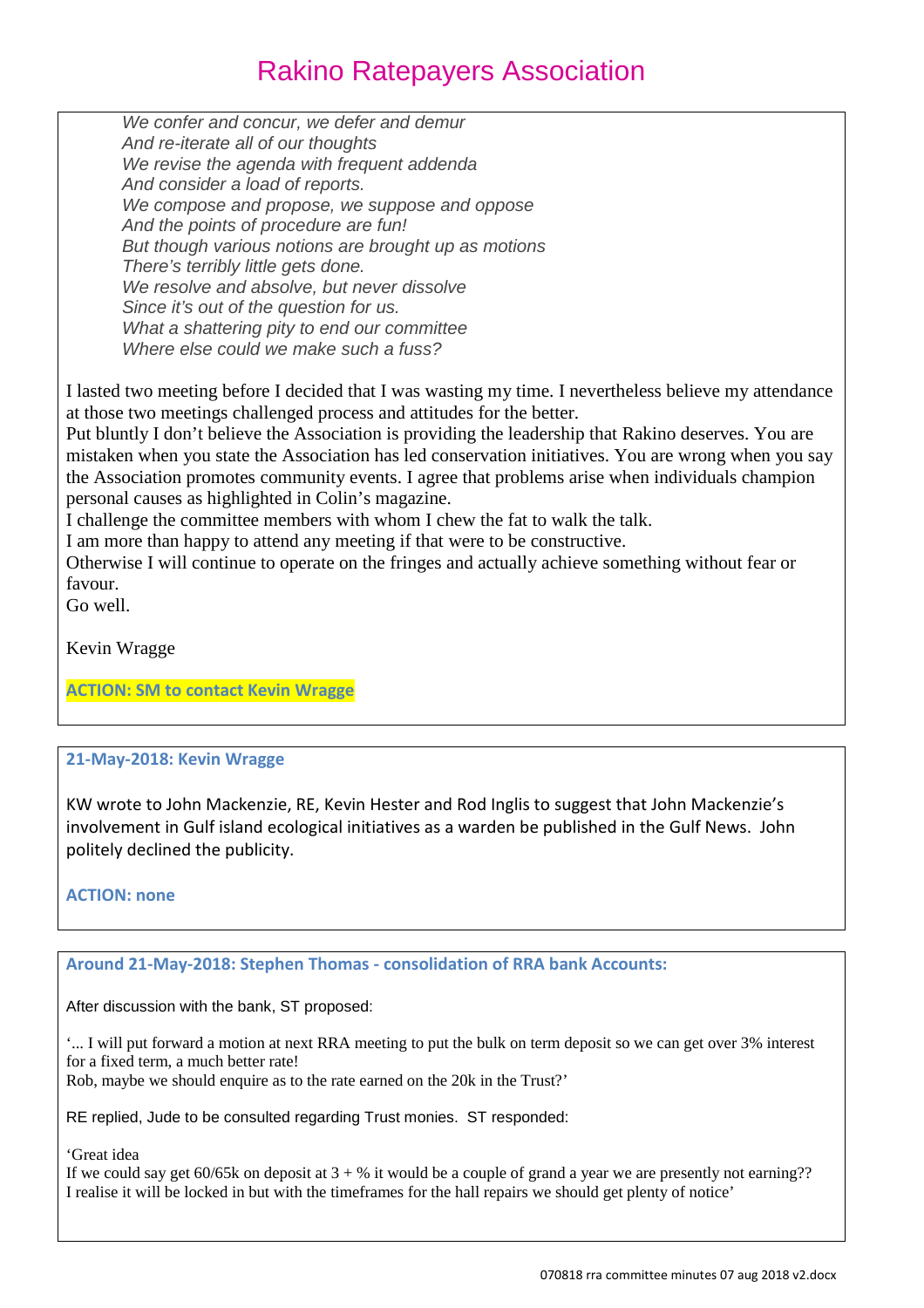*We confer and concur, we defer and demur And re-iterate all of our thoughts We revise the agenda with frequent addenda And consider a load of reports. We compose and propose, we suppose and oppose And the points of procedure are fun! But though various notions are brought up as motions There's terribly little gets done. We resolve and absolve, but never dissolve Since it's out of the question for us. What a shattering pity to end our committee Where else could we make such a fuss?*

I lasted two meeting before I decided that I was wasting my time. I nevertheless believe my attendance at those two meetings challenged process and attitudes for the better.

Put bluntly I don't believe the Association is providing the leadership that Rakino deserves. You are mistaken when you state the Association has led conservation initiatives. You are wrong when you say the Association promotes community events. I agree that problems arise when individuals champion personal causes as highlighted in Colin's magazine.

I challenge the committee members with whom I chew the fat to walk the talk.

I am more than happy to attend any meeting if that were to be constructive.

Otherwise I will continue to operate on the fringes and actually achieve something without fear or favour.

Go well.

Kevin Wragge

**ACTION: SM to contact Kevin Wragge**

#### **21-May-2018: Kevin Wragge**

KW wrote to John Mackenzie, RE, Kevin Hester and Rod Inglis to suggest that John Mackenzie's involvement in Gulf island ecological initiatives as a warden be published in the Gulf News. John politely declined the publicity.

**ACTION: none**

#### **Around 21-May-2018: Stephen Thomas - consolidation of RRA bank Accounts:**

After discussion with the bank, ST proposed:

'... I will put forward a motion at next RRA meeting to put the bulk on term deposit so we can get over 3% interest for a fixed term, a much better rate!

Rob, maybe we should enquire as to the rate earned on the 20k in the Trust?'

RE replied, Jude to be consulted regarding Trust monies. ST responded:

#### 'Great idea

If we could say get  $60/65k$  on deposit at  $3 + \%$  it would be a couple of grand a year we are presently not earning?? I realise it will be locked in but with the timeframes for the hall repairs we should get plenty of notice'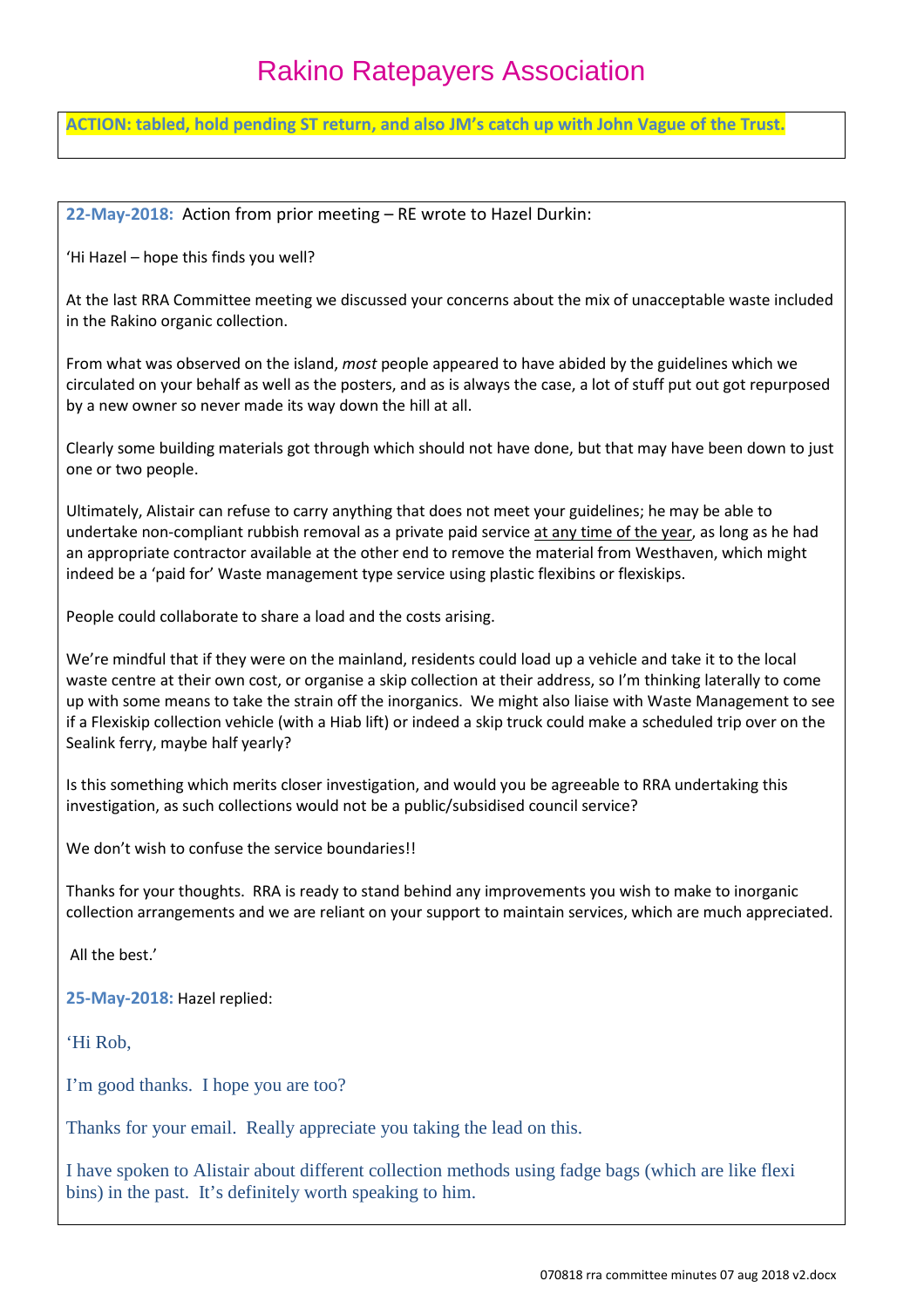**ACTION: tabled, hold pending ST return, and also JM's catch up with John Vague of the Trust.**

**22-May-2018:** Action from prior meeting – RE wrote to Hazel Durkin:

'Hi Hazel – hope this finds you well?

At the last RRA Committee meeting we discussed your concerns about the mix of unacceptable waste included in the Rakino organic collection.

From what was observed on the island, *most* people appeared to have abided by the guidelines which we circulated on your behalf as well as the posters, and as is always the case, a lot of stuff put out got repurposed by a new owner so never made its way down the hill at all.

Clearly some building materials got through which should not have done, but that may have been down to just one or two people.

Ultimately, Alistair can refuse to carry anything that does not meet your guidelines; he may be able to undertake non-compliant rubbish removal as a private paid service at any time of the year, as long as he had an appropriate contractor available at the other end to remove the material from Westhaven, which might indeed be a 'paid for' Waste management type service using plastic flexibins or flexiskips.

People could collaborate to share a load and the costs arising.

We're mindful that if they were on the mainland, residents could load up a vehicle and take it to the local waste centre at their own cost, or organise a skip collection at their address, so I'm thinking laterally to come up with some means to take the strain off the inorganics. We might also liaise with Waste Management to see if a Flexiskip collection vehicle (with a Hiab lift) or indeed a skip truck could make a scheduled trip over on the Sealink ferry, maybe half yearly?

Is this something which merits closer investigation, and would you be agreeable to RRA undertaking this investigation, as such collections would not be a public/subsidised council service?

We don't wish to confuse the service boundaries!!

Thanks for your thoughts. RRA is ready to stand behind any improvements you wish to make to inorganic collection arrangements and we are reliant on your support to maintain services, which are much appreciated.

All the best.'

**25-May-2018:** Hazel replied:

'Hi Rob,

I'm good thanks. I hope you are too?

Thanks for your email. Really appreciate you taking the lead on this.

I have spoken to Alistair about different collection methods using fadge bags (which are like flexi bins) in the past. It's definitely worth speaking to him.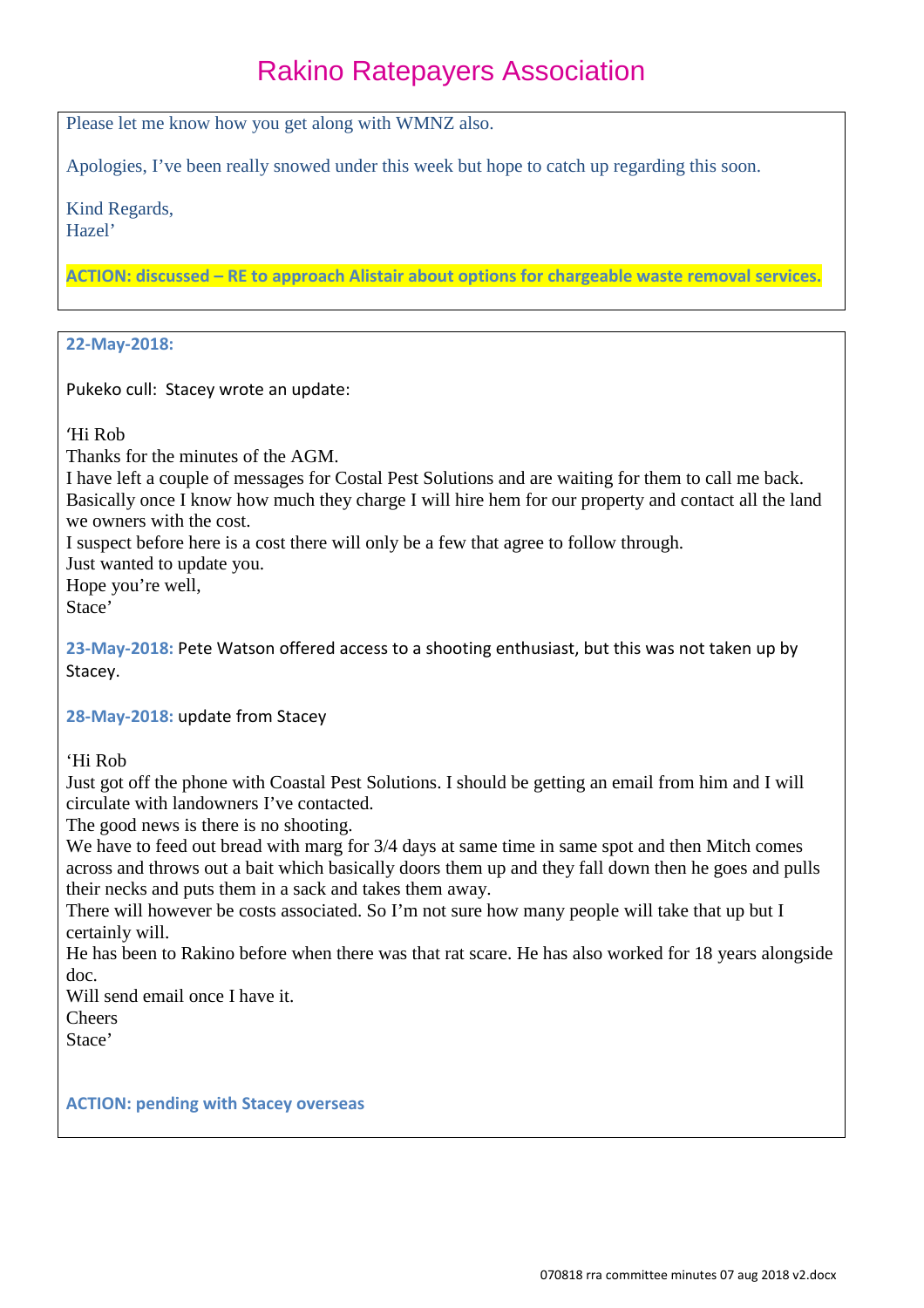Please let me know how you get along with WMNZ also.

Apologies, I've been really snowed under this week but hope to catch up regarding this soon.

Kind Regards, Hazel'

**ACTION: discussed – RE to approach Alistair about options for chargeable waste removal services.**

#### **22-May-2018:**

Pukeko cull: Stacey wrote an update:

'Hi Rob

Thanks for the minutes of the AGM.

I have left a couple of messages for Costal Pest Solutions and are waiting for them to call me back. Basically once I know how much they charge I will hire hem for our property and contact all the land we owners with the cost.

I suspect before here is a cost there will only be a few that agree to follow through.

Just wanted to update you.

Hope you're well,

Stace'

**23-May-2018:** Pete Watson offered access to a shooting enthusiast, but this was not taken up by Stacey.

**28-May-2018:** update from Stacey

'Hi Rob

Just got off the phone with Coastal Pest Solutions. I should be getting an email from him and I will circulate with landowners I've contacted.

The good news is there is no shooting.

We have to feed out bread with marg for  $3/4$  days at same time in same spot and then Mitch comes across and throws out a bait which basically doors them up and they fall down then he goes and pulls their necks and puts them in a sack and takes them away.

There will however be costs associated. So I'm not sure how many people will take that up but I certainly will.

He has been to Rakino before when there was that rat scare. He has also worked for 18 years alongside doc.

Will send email once I have it.

**Cheers** 

Stace'

**ACTION: pending with Stacey overseas**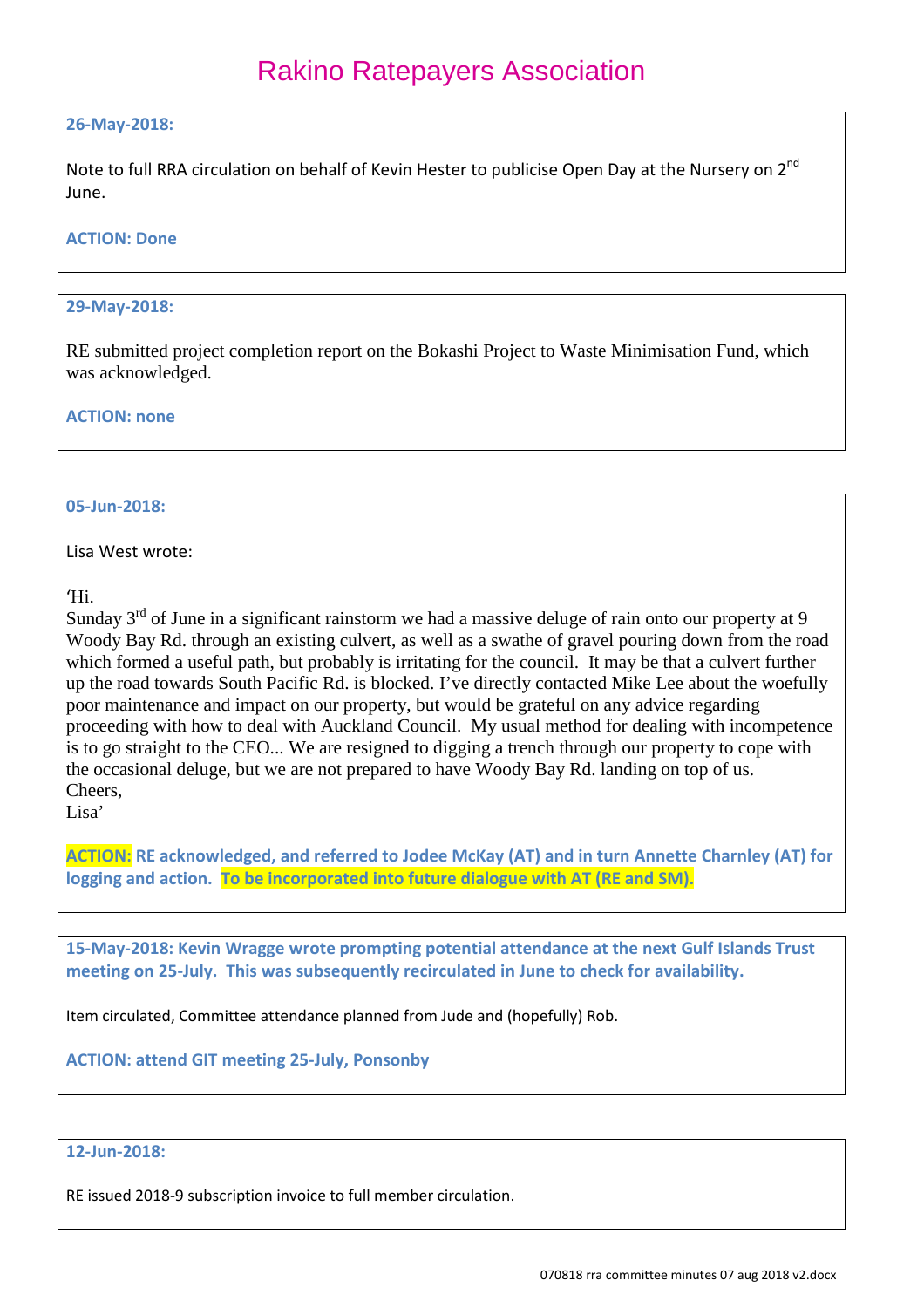#### **26-May-2018:**

Note to full RRA circulation on behalf of Kevin Hester to publicise Open Day at the Nursery on 2<sup>nd</sup> June.

#### **ACTION: Done**

#### **29-May-2018:**

RE submitted project completion report on the Bokashi Project to Waste Minimisation Fund, which was acknowledged.

#### **ACTION: none**

### **05-Jun-2018:**

Lisa West wrote:

'Hi.

Sunday  $3<sup>rd</sup>$  of June in a significant rainstorm we had a massive deluge of rain onto our property at 9 Woody Bay Rd. through an existing culvert, as well as a swathe of gravel pouring down from the road which formed a useful path, but probably is irritating for the council. It may be that a culvert further up the road towards South Pacific Rd. is blocked. I've directly contacted Mike Lee about the woefully poor maintenance and impact on our property, but would be grateful on any advice regarding proceeding with how to deal with Auckland Council. My usual method for dealing with incompetence is to go straight to the CEO... We are resigned to digging a trench through our property to cope with the occasional deluge, but we are not prepared to have Woody Bay Rd. landing on top of us. Cheers,

Lisa'

**ACTION: RE acknowledged, and referred to Jodee McKay (AT) and in turn Annette Charnley (AT) for logging and action. To be incorporated into future dialogue with AT (RE and SM).**

**15-May-2018: Kevin Wragge wrote prompting potential attendance at the next Gulf Islands Trust meeting on 25-July. This was subsequently recirculated in June to check for availability.**

Item circulated, Committee attendance planned from Jude and (hopefully) Rob.

**ACTION: attend GIT meeting 25-July, Ponsonby**

### **12-Jun-2018:**

RE issued 2018-9 subscription invoice to full member circulation.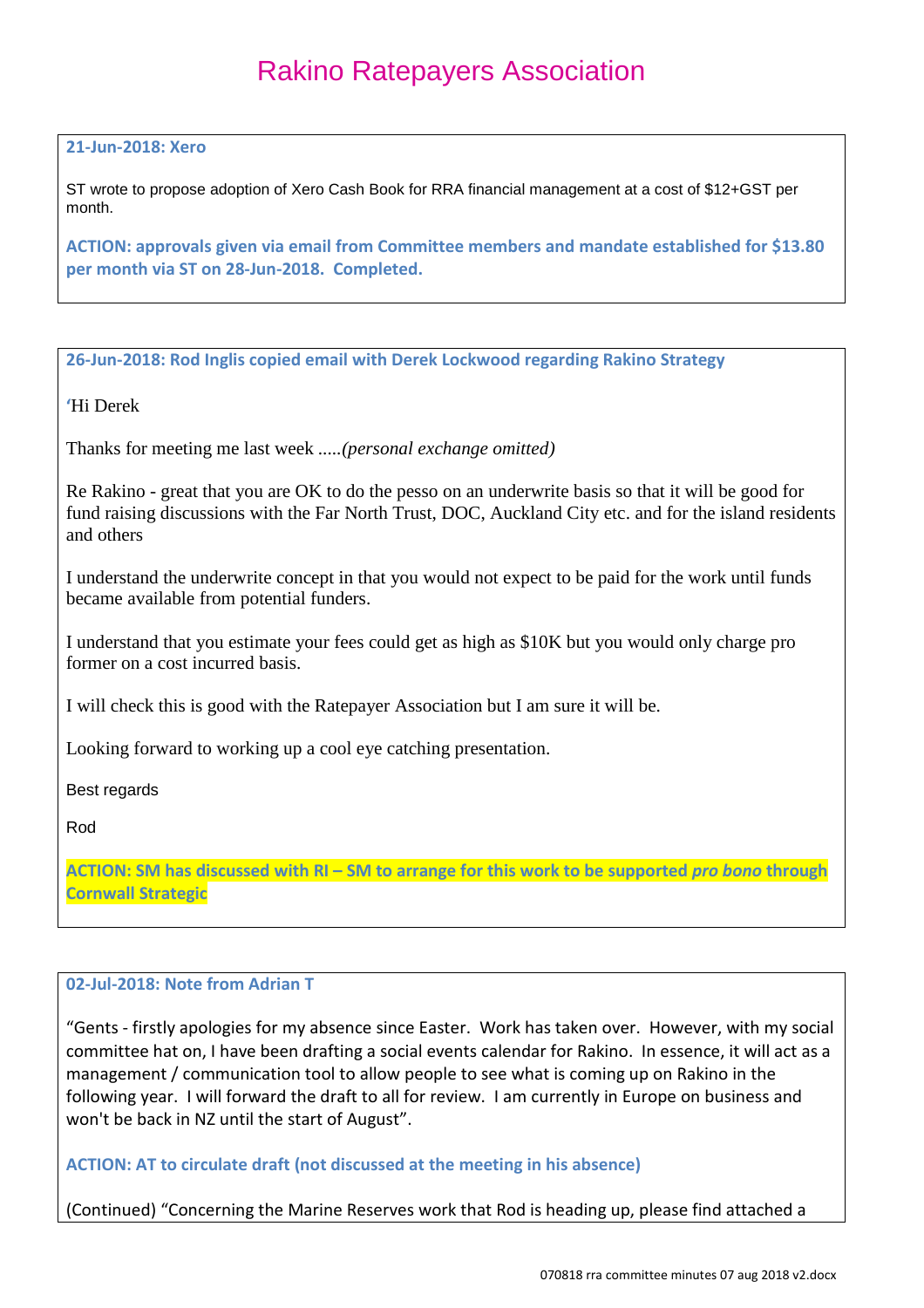#### **21-Jun-2018: Xero**

ST wrote to propose adoption of Xero Cash Book for RRA financial management at a cost of \$12+GST per month.

**ACTION: approvals given via email from Committee members and mandate established for \$13.80 per month via ST on 28-Jun-2018. Completed.**

**26-Jun-2018: Rod Inglis copied email with Derek Lockwood regarding Rakino Strategy**

**'**Hi Derek

Thanks for meeting me last week *.....(personal exchange omitted)*

Re Rakino - great that you are OK to do the pesso on an underwrite basis so that it will be good for fund raising discussions with the Far North Trust, DOC, Auckland City etc. and for the island residents and others

I understand the underwrite concept in that you would not expect to be paid for the work until funds became available from potential funders.

I understand that you estimate your fees could get as high as \$10K but you would only charge pro former on a cost incurred basis.

I will check this is good with the Ratepayer Association but I am sure it will be.

Looking forward to working up a cool eye catching presentation.

Best regards

Rod

**ACTION: SM has discussed with RI – SM to arrange for this work to be supported** *pro bono* **through Cornwall Strategic**

#### **02-Jul-2018: Note from Adrian T**

"Gents - firstly apologies for my absence since Easter. Work has taken over. However, with my social committee hat on, I have been drafting a social events calendar for Rakino. In essence, it will act as a management / communication tool to allow people to see what is coming up on Rakino in the following year. I will forward the draft to all for review. I am currently in Europe on business and won't be back in NZ until the start of August".

**ACTION: AT to circulate draft (not discussed at the meeting in his absence)**

(Continued) "Concerning the Marine Reserves work that Rod is heading up, please find attached a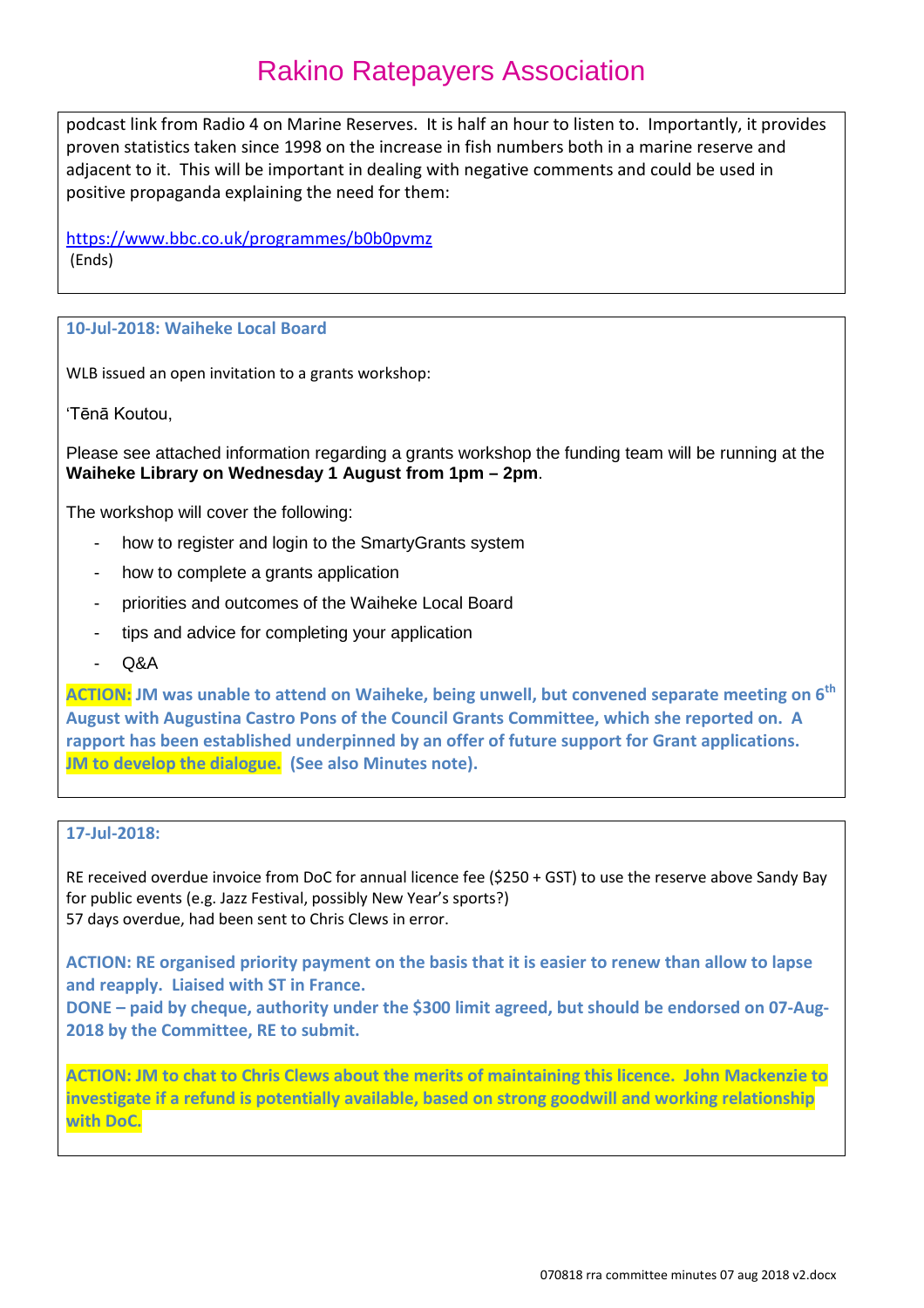podcast link from Radio 4 on Marine Reserves. It is half an hour to listen to. Importantly, it provides proven statistics taken since 1998 on the increase in fish numbers both in a marine reserve and adjacent to it. This will be important in dealing with negative comments and could be used in positive propaganda explaining the need for them:

<https://www.bbc.co.uk/programmes/b0b0pvmz> (Ends)

#### **10-Jul-2018: Waiheke Local Board**

WLB issued an open invitation to a grants workshop:

'Tēnā Koutou,

Please see attached information regarding a grants workshop the funding team will be running at the **Waiheke Library on Wednesday 1 August from 1pm – 2pm**.

The workshop will cover the following:

- how to register and login to the SmartyGrants system
- how to complete a grants application
- priorities and outcomes of the Waiheke Local Board
- tips and advice for completing your application
- Q&A

**ACTION: JM was unable to attend on Waiheke, being unwell, but convened separate meeting on 6th August with Augustina Castro Pons of the Council Grants Committee, which she reported on. A rapport has been established underpinned by an offer of future support for Grant applications. JM to develop the dialogue. (See also Minutes note).**

#### **17-Jul-2018:**

RE received overdue invoice from DoC for annual licence fee (\$250 + GST) to use the reserve above Sandy Bay for public events (e.g. Jazz Festival, possibly New Year's sports?) 57 days overdue, had been sent to Chris Clews in error.

**ACTION: RE organised priority payment on the basis that it is easier to renew than allow to lapse and reapply. Liaised with ST in France.**

**DONE – paid by cheque, authority under the \$300 limit agreed, but should be endorsed on 07-Aug-2018 by the Committee, RE to submit.**

**ACTION: JM to chat to Chris Clews about the merits of maintaining this licence. John Mackenzie to investigate if a refund is potentially available, based on strong goodwill and working relationship with DoC.**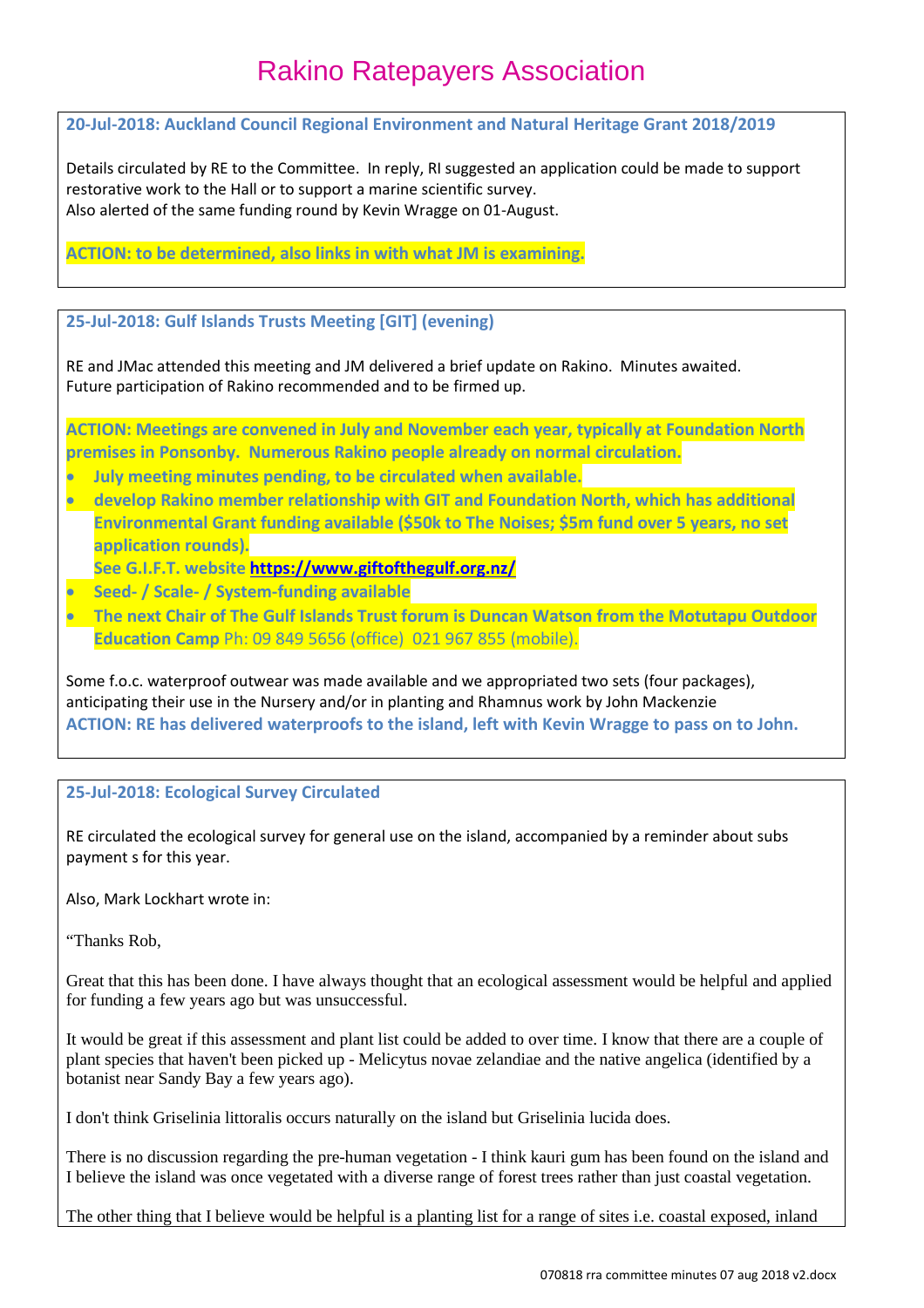**20-Jul-2018: Auckland Council Regional Environment and Natural Heritage Grant 2018/2019**

Details circulated by RE to the Committee. In reply, RI suggested an application could be made to support restorative work to the Hall or to support a marine scientific survey. Also alerted of the same funding round by Kevin Wragge on 01-August.

**ACTION: to be determined, also links in with what JM is examining.**

**25-Jul-2018: Gulf Islands Trusts Meeting [GIT] (evening)**

RE and JMac attended this meeting and JM delivered a brief update on Rakino. Minutes awaited. Future participation of Rakino recommended and to be firmed up.

**ACTION: Meetings are convened in July and November each year, typically at Foundation North premises in Ponsonby. Numerous Rakino people already on normal circulation.** 

- **July meeting minutes pending, to be circulated when available.**
- **develop Rakino member relationship with GIT and Foundation North, which has additional Environmental Grant funding available (\$50k to The Noises; \$5m fund over 5 years, no set application rounds).**
- **See G.I.F.T. website<https://www.giftofthegulf.org.nz/>**
- **Seed- / Scale- / System-funding available**
- **The next Chair of The Gulf Islands Trust forum is Duncan Watson from the Motutapu Outdoor Education Camp** Ph: 09 849 5656 (office) 021 967 855 (mobile).

Some f.o.c. waterproof outwear was made available and we appropriated two sets (four packages), anticipating their use in the Nursery and/or in planting and Rhamnus work by John Mackenzie **ACTION: RE has delivered waterproofs to the island, left with Kevin Wragge to pass on to John.**

#### **25-Jul-2018: Ecological Survey Circulated**

RE circulated the ecological survey for general use on the island, accompanied by a reminder about subs payment s for this year.

Also, Mark Lockhart wrote in:

"Thanks Rob,

Great that this has been done. I have always thought that an ecological assessment would be helpful and applied for funding a few years ago but was unsuccessful.

It would be great if this assessment and plant list could be added to over time. I know that there are a couple of plant species that haven't been picked up - Melicytus novae zelandiae and the native angelica (identified by a botanist near Sandy Bay a few years ago).

I don't think Griselinia littoralis occurs naturally on the island but Griselinia lucida does.

There is no discussion regarding the pre-human vegetation - I think kauri gum has been found on the island and I believe the island was once vegetated with a diverse range of forest trees rather than just coastal vegetation.

The other thing that I believe would be helpful is a planting list for a range of sites i.e. coastal exposed, inland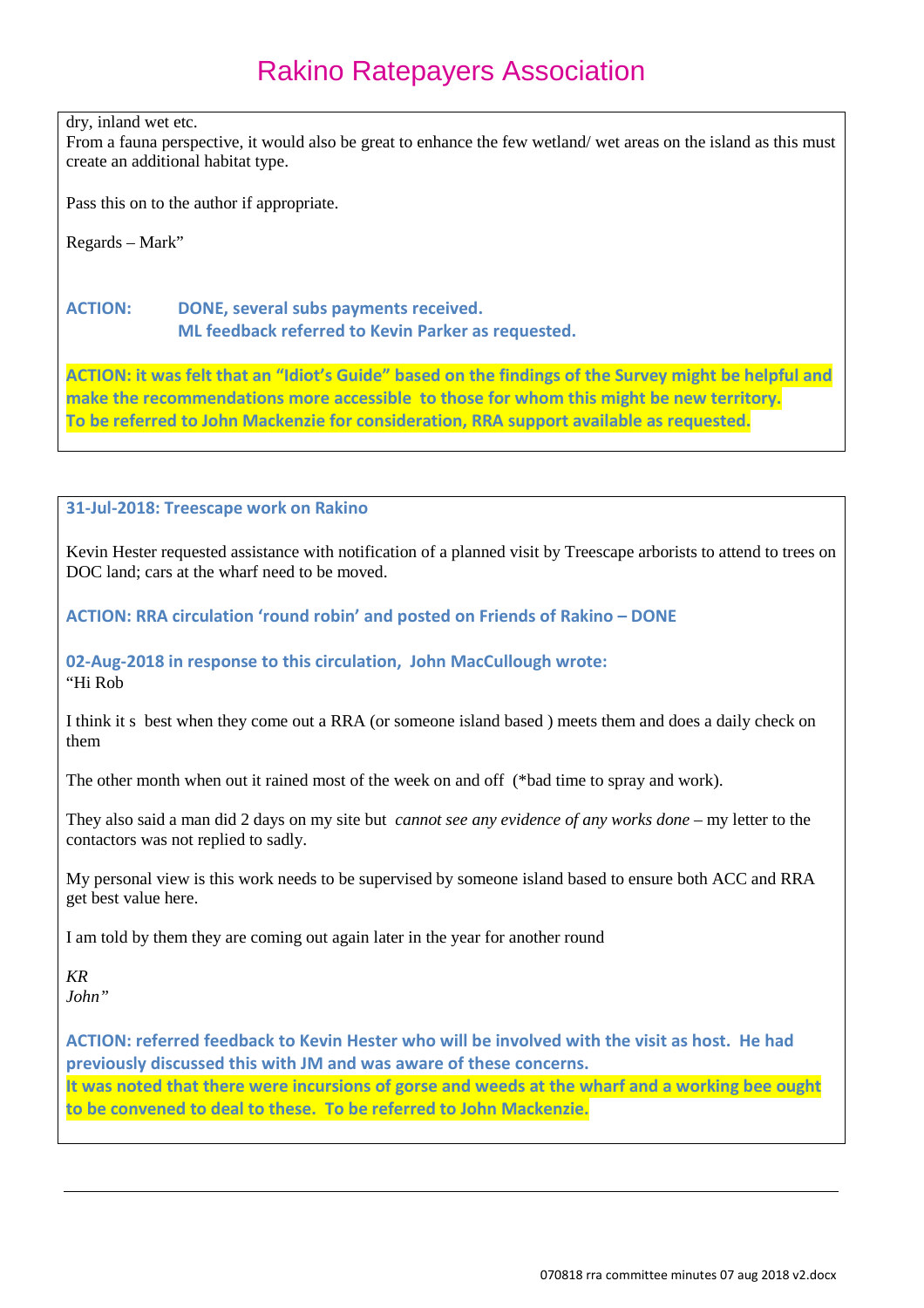dry, inland wet etc.

From a fauna perspective, it would also be great to enhance the few wetland/ wet areas on the island as this must create an additional habitat type.

Pass this on to the author if appropriate.

Regards – Mark"

#### **ACTION: DONE, several subs payments received. ML feedback referred to Kevin Parker as requested.**

**ACTION: it was felt that an "Idiot's Guide" based on the findings of the Survey might be helpful and make the recommendations more accessible to those for whom this might be new territory. To be referred to John Mackenzie for consideration, RRA support available as requested.**

#### **31-Jul-2018: Treescape work on Rakino**

Kevin Hester requested assistance with notification of a planned visit by Treescape arborists to attend to trees on DOC land; cars at the wharf need to be moved.

**ACTION: RRA circulation 'round robin' and posted on Friends of Rakino – DONE**

#### **02-Aug-2018 in response to this circulation, John MacCullough wrote:** "Hi Rob

I think it s best when they come out a RRA (or someone island based ) meets them and does a daily check on them

The other month when out it rained most of the week on and off (\*bad time to spray and work).

They also said a man did 2 days on my site but *cannot see any evidence of any works done –* my letter to the contactors was not replied to sadly.

My personal view is this work needs to be supervised by someone island based to ensure both ACC and RRA get best value here.

I am told by them they are coming out again later in the year for another round

*KR John"*

**ACTION: referred feedback to Kevin Hester who will be involved with the visit as host. He had previously discussed this with JM and was aware of these concerns. It was noted that there were incursions of gorse and weeds at the wharf and a working bee ought to be convened to deal to these. To be referred to John Mackenzie.**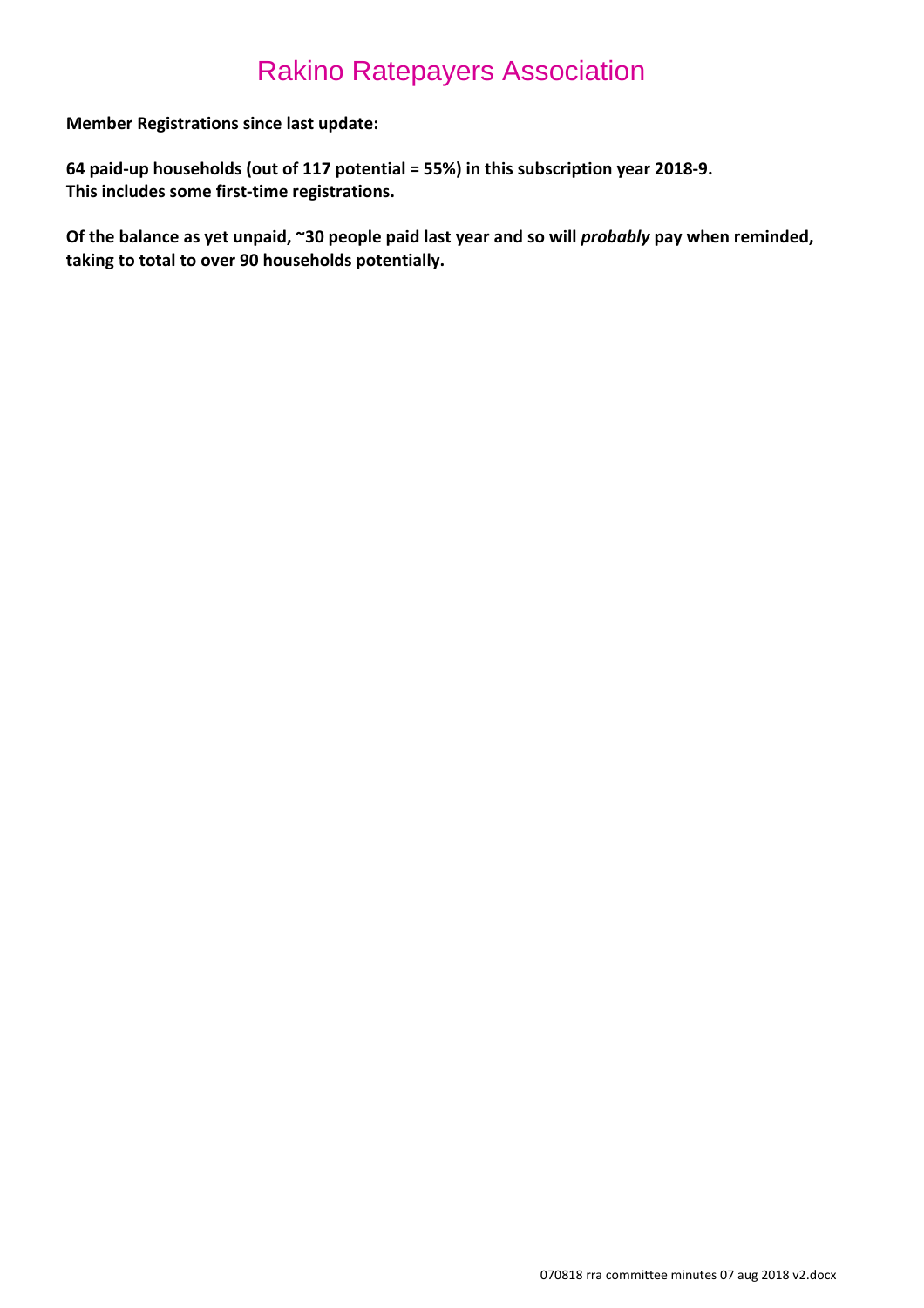**Member Registrations since last update:**

**64 paid-up households (out of 117 potential = 55%) in this subscription year 2018-9. This includes some first-time registrations.**

**Of the balance as yet unpaid, ~30 people paid last year and so will** *probably* **pay when reminded, taking to total to over 90 households potentially.**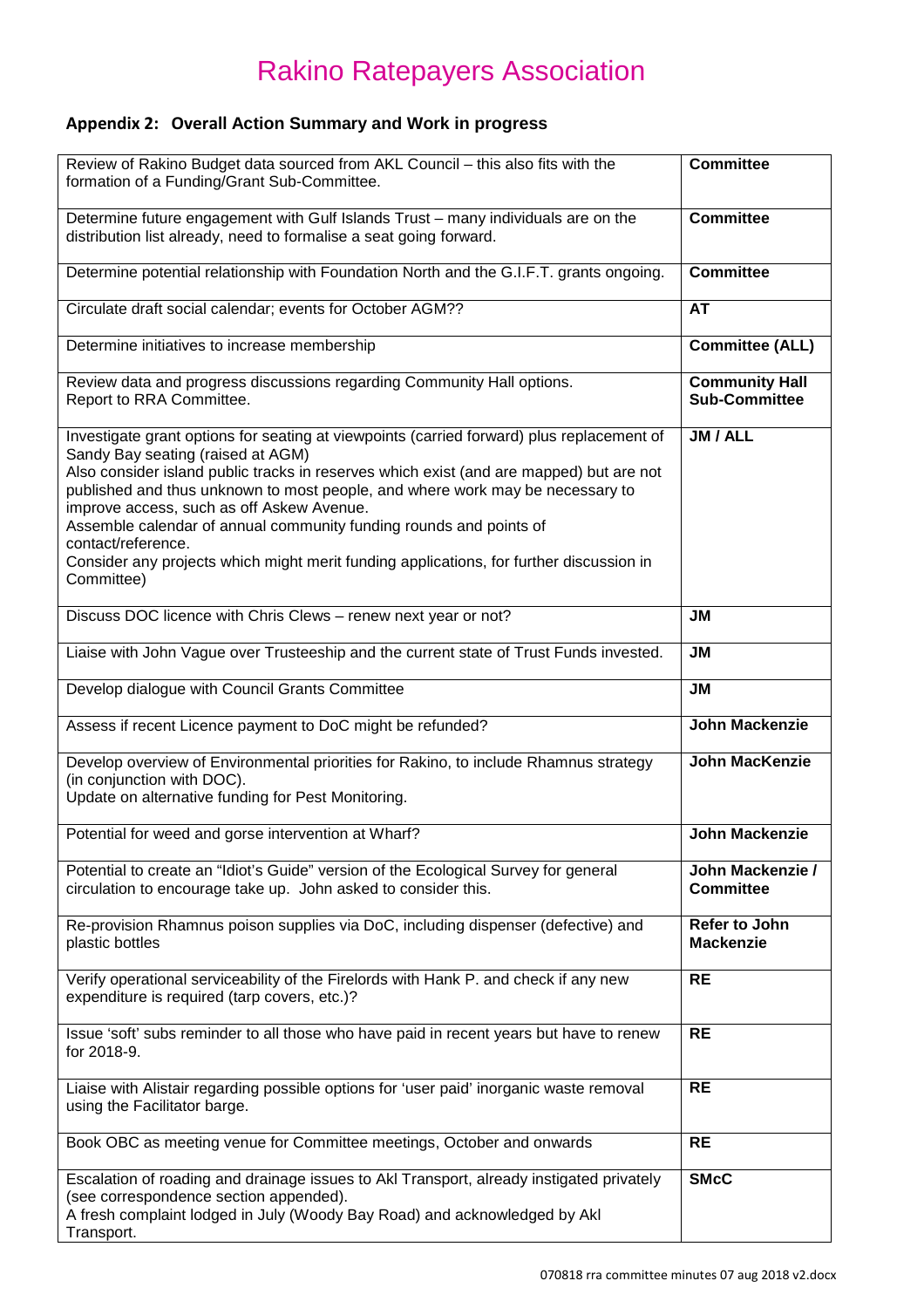### **Appendix 2: Overall Action Summary and Work in progress**

| Review of Rakino Budget data sourced from AKL Council - this also fits with the<br>formation of a Funding/Grant Sub-Committee.                                                                                                                                                                                                                                                                                                                                                                                                                               | <b>Committee</b>                              |
|--------------------------------------------------------------------------------------------------------------------------------------------------------------------------------------------------------------------------------------------------------------------------------------------------------------------------------------------------------------------------------------------------------------------------------------------------------------------------------------------------------------------------------------------------------------|-----------------------------------------------|
| Determine future engagement with Gulf Islands Trust - many individuals are on the<br>distribution list already, need to formalise a seat going forward.                                                                                                                                                                                                                                                                                                                                                                                                      | <b>Committee</b>                              |
| Determine potential relationship with Foundation North and the G.I.F.T. grants ongoing.                                                                                                                                                                                                                                                                                                                                                                                                                                                                      | <b>Committee</b>                              |
| Circulate draft social calendar; events for October AGM??                                                                                                                                                                                                                                                                                                                                                                                                                                                                                                    | AT                                            |
| Determine initiatives to increase membership                                                                                                                                                                                                                                                                                                                                                                                                                                                                                                                 | <b>Committee (ALL)</b>                        |
| Review data and progress discussions regarding Community Hall options.<br>Report to RRA Committee.                                                                                                                                                                                                                                                                                                                                                                                                                                                           | <b>Community Hall</b><br><b>Sub-Committee</b> |
| Investigate grant options for seating at viewpoints (carried forward) plus replacement of<br>Sandy Bay seating (raised at AGM)<br>Also consider island public tracks in reserves which exist (and are mapped) but are not<br>published and thus unknown to most people, and where work may be necessary to<br>improve access, such as off Askew Avenue.<br>Assemble calendar of annual community funding rounds and points of<br>contact/reference.<br>Consider any projects which might merit funding applications, for further discussion in<br>Committee) | JM / ALL                                      |
| Discuss DOC licence with Chris Clews - renew next year or not?                                                                                                                                                                                                                                                                                                                                                                                                                                                                                               | <b>JM</b>                                     |
| Liaise with John Vague over Trusteeship and the current state of Trust Funds invested.                                                                                                                                                                                                                                                                                                                                                                                                                                                                       | <b>JM</b>                                     |
| Develop dialogue with Council Grants Committee                                                                                                                                                                                                                                                                                                                                                                                                                                                                                                               | <b>JM</b>                                     |
| Assess if recent Licence payment to DoC might be refunded?                                                                                                                                                                                                                                                                                                                                                                                                                                                                                                   | <b>John Mackenzie</b>                         |
| Develop overview of Environmental priorities for Rakino, to include Rhamnus strategy<br>(in conjunction with DOC).<br>Update on alternative funding for Pest Monitoring.                                                                                                                                                                                                                                                                                                                                                                                     | <b>John MacKenzie</b>                         |
| Potential for weed and gorse intervention at Wharf?                                                                                                                                                                                                                                                                                                                                                                                                                                                                                                          | <b>John Mackenzie</b>                         |
| Potential to create an "Idiot's Guide" version of the Ecological Survey for general<br>circulation to encourage take up. John asked to consider this.                                                                                                                                                                                                                                                                                                                                                                                                        | John Mackenzie /<br><b>Committee</b>          |
| Re-provision Rhamnus poison supplies via DoC, including dispenser (defective) and<br>plastic bottles                                                                                                                                                                                                                                                                                                                                                                                                                                                         | Refer to John<br><b>Mackenzie</b>             |
| Verify operational serviceability of the Firelords with Hank P. and check if any new<br>expenditure is required (tarp covers, etc.)?                                                                                                                                                                                                                                                                                                                                                                                                                         | <b>RE</b>                                     |
| Issue 'soft' subs reminder to all those who have paid in recent years but have to renew<br>for 2018-9.                                                                                                                                                                                                                                                                                                                                                                                                                                                       | <b>RE</b>                                     |
| Liaise with Alistair regarding possible options for 'user paid' inorganic waste removal<br>using the Facilitator barge.                                                                                                                                                                                                                                                                                                                                                                                                                                      | <b>RE</b>                                     |
| Book OBC as meeting venue for Committee meetings, October and onwards                                                                                                                                                                                                                                                                                                                                                                                                                                                                                        | <b>RE</b>                                     |
| Escalation of roading and drainage issues to Akl Transport, already instigated privately<br>(see correspondence section appended).<br>A fresh complaint lodged in July (Woody Bay Road) and acknowledged by Akl<br>Transport.                                                                                                                                                                                                                                                                                                                                | <b>SMcC</b>                                   |